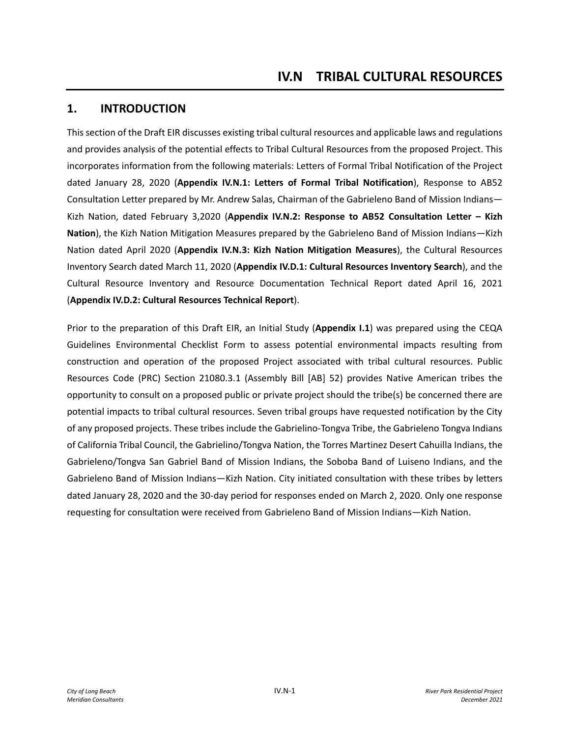### **1. INTRODUCTION**

This section of the Draft EIR discusses existing tribal cultural resources and applicable laws and regulations and provides analysis of the potential effects to Tribal Cultural Resources from the proposed Project. This incorporates information from the following materials: Letters of Formal Tribal Notification of the Project dated January 28, 2020 (**Appendix IV.N.1: Letters of Formal Tribal Notification**), Response to AB52 Consultation Letter prepared by Mr. Andrew Salas, Chairman of the Gabrieleno Band of Mission Indians— Kizh Nation, dated February 3,2020 (**Appendix IV.N.2: Response to AB52 Consultation Letter – Kizh Nation**), the Kizh Nation Mitigation Measures prepared by the Gabrieleno Band of Mission Indians—Kizh Nation dated April 2020 (**Appendix IV.N.3: Kizh Nation Mitigation Measures**), the Cultural Resources Inventory Search dated March 11, 2020 (**Appendix IV.D.1: Cultural Resources Inventory Search**), and the Cultural Resource Inventory and Resource Documentation Technical Report dated April 16, 2021 (**Appendix IV.D.2: Cultural Resources Technical Report**).

Prior to the preparation of this Draft EIR, an Initial Study (**Appendix I.1**) was prepared using the CEQA Guidelines Environmental Checklist Form to assess potential environmental impacts resulting from construction and operation of the proposed Project associated with tribal cultural resources. Public Resources Code (PRC) Section 21080.3.1 (Assembly Bill [AB] 52) provides Native American tribes the opportunity to consult on a proposed public or private project should the tribe(s) be concerned there are potential impacts to tribal cultural resources. Seven tribal groups have requested notification by the City of any proposed projects. These tribes include the Gabrielino-Tongva Tribe, the Gabrieleno Tongva Indians of California Tribal Council, the Gabrielino/Tongva Nation, the Torres Martinez Desert Cahuilla Indians, the Gabrieleno/Tongva San Gabriel Band of Mission Indians, the Soboba Band of Luiseno Indians, and the Gabrieleno Band of Mission Indians—Kizh Nation. City initiated consultation with these tribes by letters dated January 28, 2020 and the 30-day period for responses ended on March 2, 2020. Only one response requesting for consultation were received from Gabrieleno Band of Mission Indians—Kizh Nation.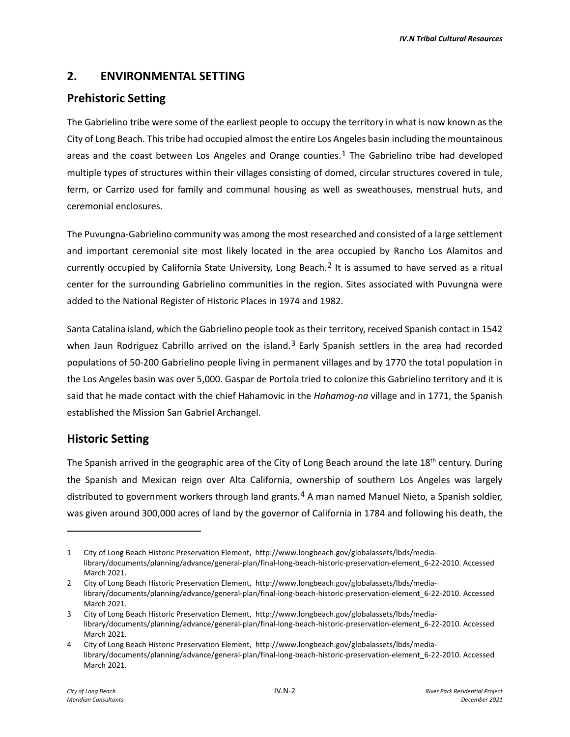## **2. ENVIRONMENTAL SETTING**

## **Prehistoric Setting**

The Gabrielino tribe were some of the earliest people to occupy the territory in what is now known as the City of Long Beach. This tribe had occupied almost the entire Los Angeles basin including the mountainous areas and the coast between Los Angeles and Orange counties.<sup>[1](#page-1-0)</sup> The Gabrielino tribe had developed multiple types of structures within their villages consisting of domed, circular structures covered in tule, ferm, or Carrizo used for family and communal housing as well as sweathouses, menstrual huts, and ceremonial enclosures.

The Puvungna-Gabrielino community was among the most researched and consisted of a large settlement and important ceremonial site most likely located in the area occupied by Rancho Los Alamitos and currently occupied by California State University, Long Beach.[2](#page-1-1) It is assumed to have served as a ritual center for the surrounding Gabrielino communities in the region. Sites associated with Puvungna were added to the National Register of Historic Places in 1974 and 1982.

Santa Catalina island, which the Gabrielino people took as their territory, received Spanish contact in 1542 when Jaun Rodriguez Cabrillo arrived on the island.<sup>[3](#page-1-2)</sup> Early Spanish settlers in the area had recorded populations of 50-200 Gabrielino people living in permanent villages and by 1770 the total population in the Los Angeles basin was over 5,000. Gaspar de Portola tried to colonize this Gabrielino territory and it is said that he made contact with the chief Hahamovic in the *Hahamog-na* village and in 1771, the Spanish established the Mission San Gabriel Archangel.

## **Historic Setting**

The Spanish arrived in the geographic area of the City of Long Beach around the late  $18<sup>th</sup>$  century. During the Spanish and Mexican reign over Alta California, ownership of southern Los Angeles was largely distributed to government workers through land grants.<sup>[4](#page-1-3)</sup> A man named Manuel Nieto, a Spanish soldier, was given around 300,000 acres of land by the governor of California in 1784 and following his death, the

<span id="page-1-0"></span><sup>1</sup> City of Long Beach Historic Preservation Element, http://www.longbeach.gov/globalassets/lbds/medialibrary/documents/planning/advance/general-plan/final-long-beach-historic-preservation-element\_6-22-2010. Accessed March 2021.

<span id="page-1-1"></span><sup>2</sup> City of Long Beach Historic Preservation Element, http://www.longbeach.gov/globalassets/lbds/medialibrary/documents/planning/advance/general-plan/final-long-beach-historic-preservation-element\_6-22-2010. Accessed March 2021.

<span id="page-1-2"></span><sup>3</sup> City of Long Beach Historic Preservation Element, http://www.longbeach.gov/globalassets/lbds/medialibrary/documents/planning/advance/general-plan/final-long-beach-historic-preservation-element\_6-22-2010. Accessed March 2021.

<span id="page-1-3"></span><sup>4</sup> City of Long Beach Historic Preservation Element, http://www.longbeach.gov/globalassets/lbds/medialibrary/documents/planning/advance/general-plan/final-long-beach-historic-preservation-element\_6-22-2010. Accessed March 2021.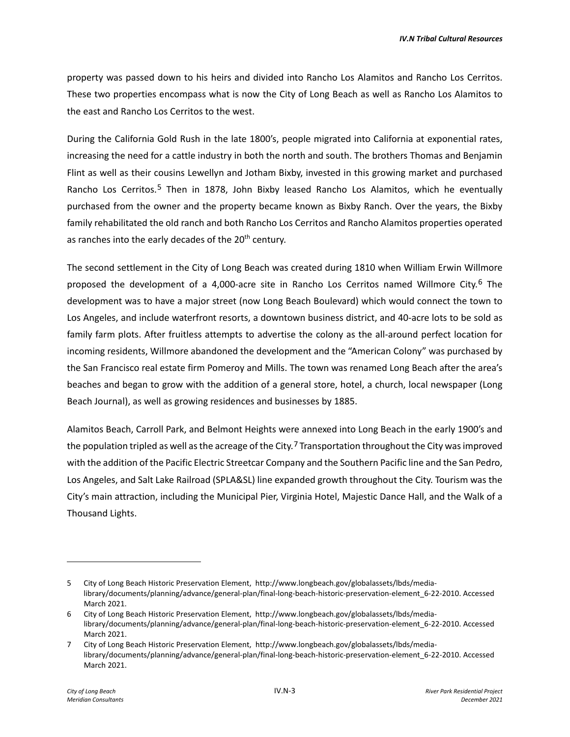property was passed down to his heirs and divided into Rancho Los Alamitos and Rancho Los Cerritos. These two properties encompass what is now the City of Long Beach as well as Rancho Los Alamitos to the east and Rancho Los Cerritos to the west.

During the California Gold Rush in the late 1800's, people migrated into California at exponential rates, increasing the need for a cattle industry in both the north and south. The brothers Thomas and Benjamin Flint as well as their cousins Lewellyn and Jotham Bixby, invested in this growing market and purchased Rancho Los Cerritos.[5](#page-2-0) Then in 1878, John Bixby leased Rancho Los Alamitos, which he eventually purchased from the owner and the property became known as Bixby Ranch. Over the years, the Bixby family rehabilitated the old ranch and both Rancho Los Cerritos and Rancho Alamitos properties operated as ranches into the early decades of the  $20<sup>th</sup>$  century.

The second settlement in the City of Long Beach was created during 1810 when William Erwin Willmore proposed the development of a 4,000-acre site in Rancho Los Cerritos named Willmore City.<sup>[6](#page-2-1)</sup> The development was to have a major street (now Long Beach Boulevard) which would connect the town to Los Angeles, and include waterfront resorts, a downtown business district, and 40-acre lots to be sold as family farm plots. After fruitless attempts to advertise the colony as the all-around perfect location for incoming residents, Willmore abandoned the development and the "American Colony" was purchased by the San Francisco real estate firm Pomeroy and Mills. The town was renamed Long Beach after the area's beaches and began to grow with the addition of a general store, hotel, a church, local newspaper (Long Beach Journal), as well as growing residences and businesses by 1885.

Alamitos Beach, Carroll Park, and Belmont Heights were annexed into Long Beach in the early 1900's and the population tripled as well as the acreage of the City.<sup>[7](#page-2-2)</sup> Transportation throughout the City was improved with the addition of the Pacific Electric Streetcar Company and the Southern Pacific line and the San Pedro, Los Angeles, and Salt Lake Railroad (SPLA&SL) line expanded growth throughout the City. Tourism was the City's main attraction, including the Municipal Pier, Virginia Hotel, Majestic Dance Hall, and the Walk of a Thousand Lights.

<span id="page-2-0"></span><sup>5</sup> City of Long Beach Historic Preservation Element, http://www.longbeach.gov/globalassets/lbds/medialibrary/documents/planning/advance/general-plan/final-long-beach-historic-preservation-element\_6-22-2010. Accessed March 2021.

<span id="page-2-1"></span><sup>6</sup> City of Long Beach Historic Preservation Element, http://www.longbeach.gov/globalassets/lbds/medialibrary/documents/planning/advance/general-plan/final-long-beach-historic-preservation-element\_6-22-2010. Accessed March 2021.

<span id="page-2-2"></span><sup>7</sup> City of Long Beach Historic Preservation Element, http://www.longbeach.gov/globalassets/lbds/medialibrary/documents/planning/advance/general-plan/final-long-beach-historic-preservation-element\_6-22-2010. Accessed March 2021.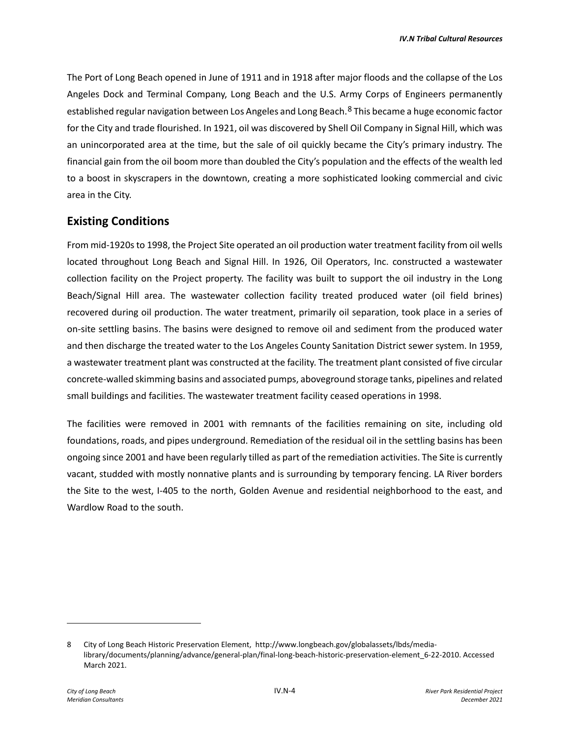The Port of Long Beach opened in June of 1911 and in 1918 after major floods and the collapse of the Los Angeles Dock and Terminal Company, Long Beach and the U.S. Army Corps of Engineers permanently established regular navigation between Los Angeles and Long Beach.<sup>[8](#page-3-0)</sup> This became a huge economic factor for the City and trade flourished. In 1921, oil was discovered by Shell Oil Company in Signal Hill, which was an unincorporated area at the time, but the sale of oil quickly became the City's primary industry. The financial gain from the oil boom more than doubled the City's population and the effects of the wealth led to a boost in skyscrapers in the downtown, creating a more sophisticated looking commercial and civic area in the City.

### **Existing Conditions**

From mid-1920s to 1998, the Project Site operated an oil production water treatment facility from oil wells located throughout Long Beach and Signal Hill. In 1926, Oil Operators, Inc. constructed a wastewater collection facility on the Project property. The facility was built to support the oil industry in the Long Beach/Signal Hill area. The wastewater collection facility treated produced water (oil field brines) recovered during oil production. The water treatment, primarily oil separation, took place in a series of on-site settling basins. The basins were designed to remove oil and sediment from the produced water and then discharge the treated water to the Los Angeles County Sanitation District sewer system. In 1959, a wastewater treatment plant was constructed at the facility. The treatment plant consisted of five circular concrete-walled skimming basins and associated pumps, aboveground storage tanks, pipelines and related small buildings and facilities. The wastewater treatment facility ceased operations in 1998.

The facilities were removed in 2001 with remnants of the facilities remaining on site, including old foundations, roads, and pipes underground. Remediation of the residual oil in the settling basins has been ongoing since 2001 and have been regularly tilled as part of the remediation activities. The Site is currently vacant, studded with mostly nonnative plants and is surrounding by temporary fencing. LA River borders the Site to the west, I-405 to the north, Golden Avenue and residential neighborhood to the east, and Wardlow Road to the south.

<span id="page-3-0"></span><sup>8</sup> City of Long Beach Historic Preservation Element, http://www.longbeach.gov/globalassets/lbds/medialibrary/documents/planning/advance/general-plan/final-long-beach-historic-preservation-element\_6-22-2010. Accessed March 2021.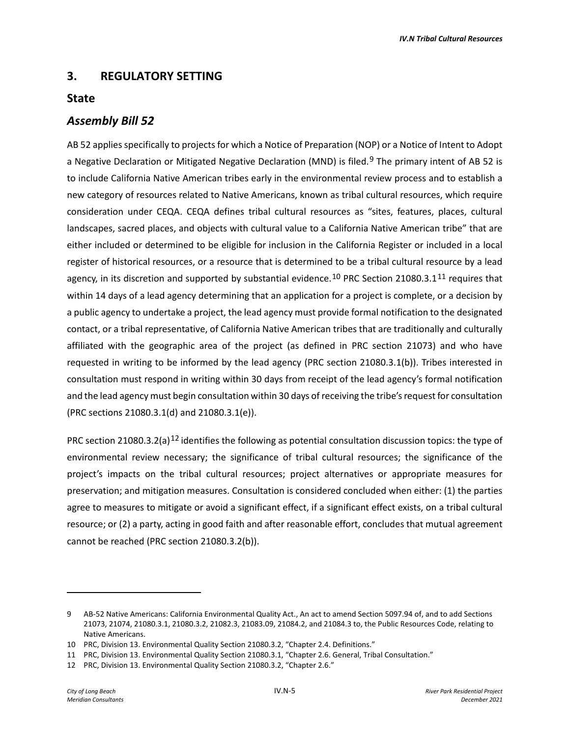### **3. REGULATORY SETTING**

#### **State**

#### *Assembly Bill 52*

AB 52 applies specifically to projects for which a Notice of Preparation (NOP) or a Notice of Intent to Adopt a Negative Declaration or Mitigated Negative Declaration (MND) is filed.<sup>[9](#page-4-0)</sup> The primary intent of AB 52 is to include California Native American tribes early in the environmental review process and to establish a new category of resources related to Native Americans, known as tribal cultural resources, which require consideration under CEQA. CEQA defines tribal cultural resources as "sites, features, places, cultural landscapes, sacred places, and objects with cultural value to a California Native American tribe" that are either included or determined to be eligible for inclusion in the California Register or included in a local register of historical resources, or a resource that is determined to be a tribal cultural resource by a lead agency, in its discretion and supported by substantial evidence.<sup>[10](#page-4-1)</sup> PRC Section 21080.3.1<sup>[11](#page-4-2)</sup> requires that within 14 days of a lead agency determining that an application for a project is complete, or a decision by a public agency to undertake a project, the lead agency must provide formal notification to the designated contact, or a tribal representative, of California Native American tribes that are traditionally and culturally affiliated with the geographic area of the project (as defined in PRC section 21073) and who have requested in writing to be informed by the lead agency (PRC section 21080.3.1(b)). Tribes interested in consultation must respond in writing within 30 days from receipt of the lead agency's formal notification and the lead agency must begin consultation within 30 days of receiving the tribe's request for consultation (PRC sections 21080.3.1(d) and 21080.3.1(e)).

PRC section 21080.3.2(a)<sup>[12](#page-4-3)</sup> identifies the following as potential consultation discussion topics: the type of environmental review necessary; the significance of tribal cultural resources; the significance of the project's impacts on the tribal cultural resources; project alternatives or appropriate measures for preservation; and mitigation measures. Consultation is considered concluded when either: (1) the parties agree to measures to mitigate or avoid a significant effect, if a significant effect exists, on a tribal cultural resource; or (2) a party, acting in good faith and after reasonable effort, concludes that mutual agreement cannot be reached (PRC section 21080.3.2(b)).

<span id="page-4-0"></span><sup>9</sup> AB-52 Native Americans: California Environmental Quality Act., An act to amend Section 5097.94 of, and to add Sections 21073, 21074, 21080.3.1, 21080.3.2, 21082.3, 21083.09, 21084.2, and 21084.3 to, the Public Resources Code, relating to Native Americans.

<span id="page-4-1"></span><sup>10</sup> PRC, Division 13. Environmental Quality Section 21080.3.2, "Chapter 2.4. Definitions."

<span id="page-4-2"></span><sup>11</sup> PRC, Division 13. Environmental Quality Section 21080.3.1, "Chapter 2.6. General, Tribal Consultation."

<span id="page-4-3"></span><sup>12</sup> PRC, Division 13. Environmental Quality Section 21080.3.2, "Chapter 2.6."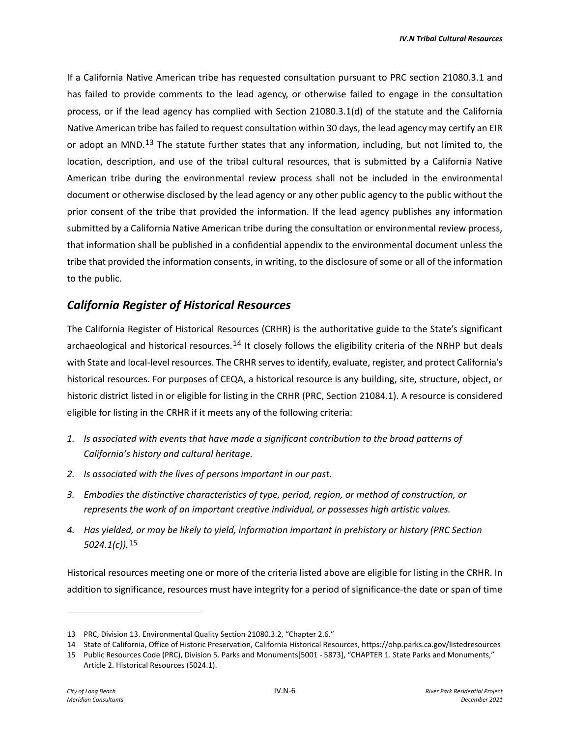If a California Native American tribe has requested consultation pursuant to PRC section 21080.3.1 and has failed to provide comments to the lead agency, or otherwise failed to engage in the consultation process, or if the lead agency has complied with Section 21080.3.1(d) of the statute and the California Native American tribe has failed to request consultation within 30 days, the lead agency may certify an EIR or adopt an MND.<sup>[13](#page-5-0)</sup> The statute further states that any information, including, but not limited to, the location, description, and use of the tribal cultural resources, that is submitted by a California Native American tribe during the environmental review process shall not be included in the environmental document or otherwise disclosed by the lead agency or any other public agency to the public without the prior consent of the tribe that provided the information. If the lead agency publishes any information submitted by a California Native American tribe during the consultation or environmental review process, that information shall be published in a confidential appendix to the environmental document unless the tribe that provided the information consents, in writing, to the disclosure of some or all of the information to the public.

### *California Register of Historical Resources*

The California Register of Historical Resources (CRHR) is the authoritative guide to the State's significant archaeological and historical resources.<sup>[14](#page-5-1)</sup> It closely follows the eligibility criteria of the NRHP but deals with State and local-level resources. The CRHR serves to identify, evaluate, register, and protect California's historical resources. For purposes of CEQA, a historical resource is any building, site, structure, object, or historic district listed in or eligible for listing in the CRHR (PRC, Section 21084.1). A resource is considered eligible for listing in the CRHR if it meets any of the following criteria:

- *1. Is associated with events that have made a significant contribution to the broad patterns of California's history and cultural heritage.*
- *2. Is associated with the lives of persons important in our past.*
- *3. Embodies the distinctive characteristics of type, period, region, or method of construction, or represents the work of an important creative individual, or possesses high artistic values.*
- *4. Has yielded, or may be likely to yield, information important in prehistory or history (PRC Section 5024.1(c)).*[15](#page-5-2)

Historical resources meeting one or more of the criteria listed above are eligible for listing in the CRHR. In addition to significance, resources must have integrity for a period of significance-the date or span of time

<span id="page-5-0"></span><sup>13</sup> PRC, Division 13. Environmental Quality Section 21080.3.2, "Chapter 2.6."

<span id="page-5-1"></span><sup>14</sup> State of California, Office of Historic Preservation, California Historical Resources, https://ohp.parks.ca.gov/listedresources

<span id="page-5-2"></span><sup>15</sup> Public Resources Code (PRC), Division 5. Parks and Monuments[5001 - 5873], "CHAPTER 1. State Parks and Monuments," Article 2. Historical Resources (5024.1).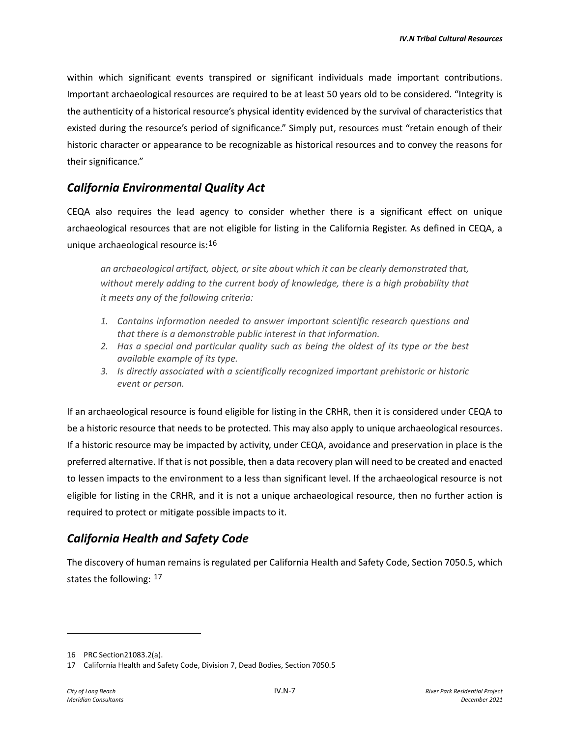within which significant events transpired or significant individuals made important contributions. Important archaeological resources are required to be at least 50 years old to be considered. "Integrity is the authenticity of a historical resource's physical identity evidenced by the survival of characteristics that existed during the resource's period of significance." Simply put, resources must "retain enough of their historic character or appearance to be recognizable as historical resources and to convey the reasons for their significance."

## *California Environmental Quality Act*

CEQA also requires the lead agency to consider whether there is a significant effect on unique archaeological resources that are not eligible for listing in the California Register. As defined in CEQA, a unique archaeological resource is:[16](#page-6-0)

*an archaeological artifact, object, or site about which it can be clearly demonstrated that, without merely adding to the current body of knowledge, there is a high probability that it meets any of the following criteria:*

- *1. Contains information needed to answer important scientific research questions and that there is a demonstrable public interest in that information.*
- *2. Has a special and particular quality such as being the oldest of its type or the best available example of its type.*
- *3. Is directly associated with a scientifically recognized important prehistoric or historic event or person.*

If an archaeological resource is found eligible for listing in the CRHR, then it is considered under CEQA to be a historic resource that needs to be protected. This may also apply to unique archaeological resources. If a historic resource may be impacted by activity, under CEQA, avoidance and preservation in place is the preferred alternative. If that is not possible, then a data recovery plan will need to be created and enacted to lessen impacts to the environment to a less than significant level. If the archaeological resource is not eligible for listing in the CRHR, and it is not a unique archaeological resource, then no further action is required to protect or mitigate possible impacts to it.

## *California Health and Safety Code*

The discovery of human remains is regulated per California Health and Safety Code, Section 7050.5, which states the following: [17](#page-6-1)

<span id="page-6-0"></span><sup>16</sup> PRC Section21083.2(a).

<span id="page-6-1"></span><sup>17</sup> California Health and Safety Code, Division 7, Dead Bodies, Section 7050.5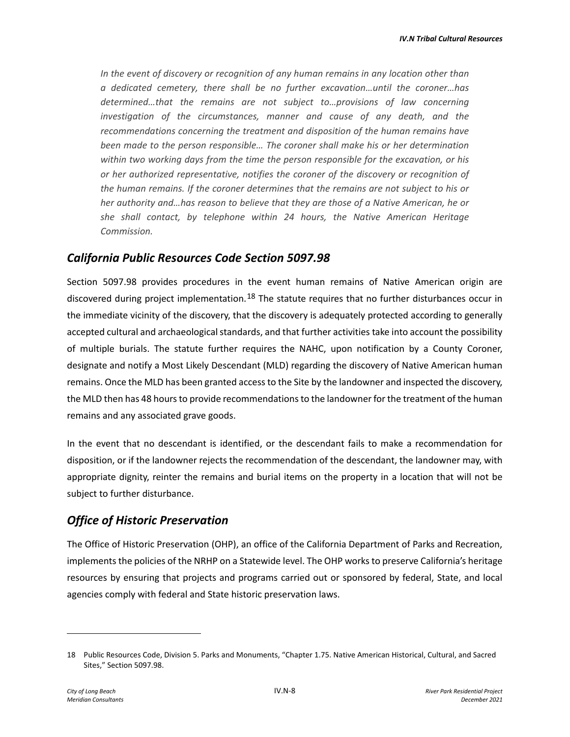*In the event of discovery or recognition of any human remains in any location other than a dedicated cemetery, there shall be no further excavation…until the coroner…has determined…that the remains are not subject to…provisions of law concerning investigation of the circumstances, manner and cause of any death, and the recommendations concerning the treatment and disposition of the human remains have been made to the person responsible… The coroner shall make his or her determination within two working days from the time the person responsible for the excavation, or his or her authorized representative, notifies the coroner of the discovery or recognition of the human remains. If the coroner determines that the remains are not subject to his or her authority and…has reason to believe that they are those of a Native American, he or she shall contact, by telephone within 24 hours, the Native American Heritage Commission.*

#### *California Public Resources Code Section 5097.98*

Section 5097.98 provides procedures in the event human remains of Native American origin are discovered during project implementation.<sup>[18](#page-7-0)</sup> The statute requires that no further disturbances occur in the immediate vicinity of the discovery, that the discovery is adequately protected according to generally accepted cultural and archaeological standards, and that further activities take into account the possibility of multiple burials. The statute further requires the NAHC, upon notification by a County Coroner, designate and notify a Most Likely Descendant (MLD) regarding the discovery of Native American human remains. Once the MLD has been granted access to the Site by the landowner and inspected the discovery, the MLD then has 48 hours to provide recommendations to the landowner for the treatment of the human remains and any associated grave goods.

In the event that no descendant is identified, or the descendant fails to make a recommendation for disposition, or if the landowner rejects the recommendation of the descendant, the landowner may, with appropriate dignity, reinter the remains and burial items on the property in a location that will not be subject to further disturbance.

#### *Office of Historic Preservation*

The Office of Historic Preservation (OHP), an office of the California Department of Parks and Recreation, implements the policies of the NRHP on a Statewide level. The OHP works to preserve California's heritage resources by ensuring that projects and programs carried out or sponsored by federal, State, and local agencies comply with federal and State historic preservation laws.

<span id="page-7-0"></span><sup>18</sup> Public Resources Code, Division 5. Parks and Monuments, "Chapter 1.75. Native American Historical, Cultural, and Sacred Sites," Section 5097.98.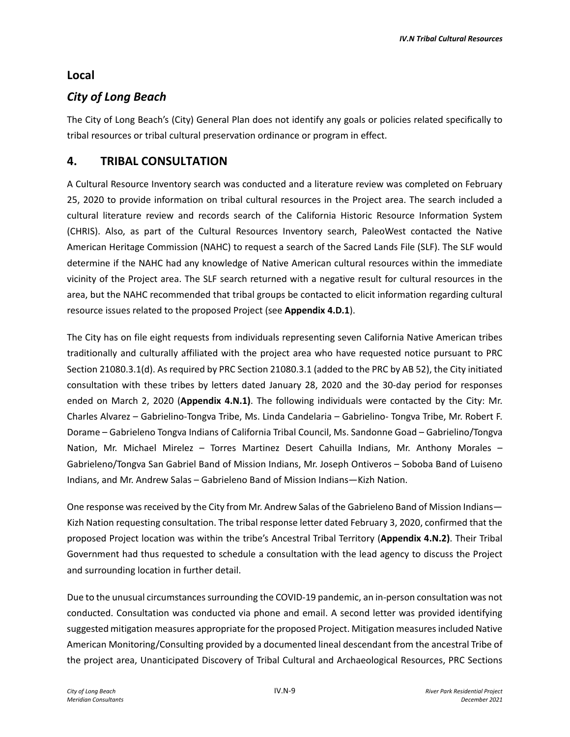## **Local**

# *City of Long Beach*

The City of Long Beach's (City) General Plan does not identify any goals or policies related specifically to tribal resources or tribal cultural preservation ordinance or program in effect.

## **4. TRIBAL CONSULTATION**

A Cultural Resource Inventory search was conducted and a literature review was completed on February 25, 2020 to provide information on tribal cultural resources in the Project area. The search included a cultural literature review and records search of the California Historic Resource Information System (CHRIS). Also, as part of the Cultural Resources Inventory search, PaleoWest contacted the Native American Heritage Commission (NAHC) to request a search of the Sacred Lands File (SLF). The SLF would determine if the NAHC had any knowledge of Native American cultural resources within the immediate vicinity of the Project area. The SLF search returned with a negative result for cultural resources in the area, but the NAHC recommended that tribal groups be contacted to elicit information regarding cultural resource issues related to the proposed Project (see **Appendix 4.D.1**).

The City has on file eight requests from individuals representing seven California Native American tribes traditionally and culturally affiliated with the project area who have requested notice pursuant to PRC Section 21080.3.1(d). As required by PRC Section 21080.3.1 (added to the PRC by AB 52), the City initiated consultation with these tribes by letters dated January 28, 2020 and the 30-day period for responses ended on March 2, 2020 (**Appendix 4.N.1)**. The following individuals were contacted by the City: Mr. Charles Alvarez – Gabrielino-Tongva Tribe, Ms. Linda Candelaria – Gabrielino- Tongva Tribe, Mr. Robert F. Dorame – Gabrieleno Tongva Indians of California Tribal Council, Ms. Sandonne Goad – Gabrielino/Tongva Nation, Mr. Michael Mirelez – Torres Martinez Desert Cahuilla Indians, Mr. Anthony Morales – Gabrieleno/Tongva San Gabriel Band of Mission Indians, Mr. Joseph Ontiveros – Soboba Band of Luiseno Indians, and Mr. Andrew Salas – Gabrieleno Band of Mission Indians—Kizh Nation.

One response was received by the City from Mr. Andrew Salas of the Gabrieleno Band of Mission Indians— Kizh Nation requesting consultation. The tribal response letter dated February 3, 2020, confirmed that the proposed Project location was within the tribe's Ancestral Tribal Territory (**Appendix 4.N.2)**. Their Tribal Government had thus requested to schedule a consultation with the lead agency to discuss the Project and surrounding location in further detail.

Due to the unusual circumstances surrounding the COVID-19 pandemic, an in-person consultation was not conducted. Consultation was conducted via phone and email. A second letter was provided identifying suggested mitigation measures appropriate for the proposed Project. Mitigation measures included Native American Monitoring/Consulting provided by a documented lineal descendant from the ancestral Tribe of the project area, Unanticipated Discovery of Tribal Cultural and Archaeological Resources, PRC Sections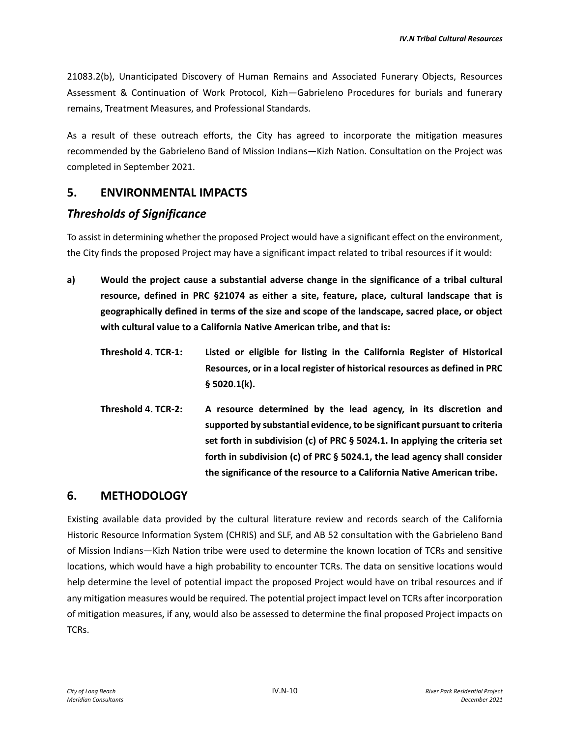21083.2(b), Unanticipated Discovery of Human Remains and Associated Funerary Objects, Resources Assessment & Continuation of Work Protocol, Kizh—Gabrieleno Procedures for burials and funerary remains, Treatment Measures, and Professional Standards.

As a result of these outreach efforts, the City has agreed to incorporate the mitigation measures recommended by the Gabrieleno Band of Mission Indians—Kizh Nation. Consultation on the Project was completed in September 2021.

## **5. ENVIRONMENTAL IMPACTS**

## *Thresholds of Significance*

To assist in determining whether the proposed Project would have a significant effect on the environment, the City finds the proposed Project may have a significant impact related to tribal resources if it would:

- **a) Would the project cause a substantial adverse change in the significance of a tribal cultural resource, defined in PRC §21074 as either a site, feature, place, cultural landscape that is geographically defined in terms of the size and scope of the landscape, sacred place, or object with cultural value to a California Native American tribe, and that is:**
	- **Threshold 4. TCR-1: Listed or eligible for listing in the California Register of Historical Resources, or in a local register of historical resources as defined in PRC § 5020.1(k).**
	- **Threshold 4. TCR-2: A resource determined by the lead agency, in its discretion and supported by substantial evidence, to be significant pursuant to criteria set forth in subdivision (c) of PRC § 5024.1. In applying the criteria set forth in subdivision (c) of PRC § 5024.1, the lead agency shall consider the significance of the resource to a California Native American tribe.**

## **6. METHODOLOGY**

Existing available data provided by the cultural literature review and records search of the California Historic Resource Information System (CHRIS) and SLF, and AB 52 consultation with the Gabrieleno Band of Mission Indians—Kizh Nation tribe were used to determine the known location of TCRs and sensitive locations, which would have a high probability to encounter TCRs. The data on sensitive locations would help determine the level of potential impact the proposed Project would have on tribal resources and if any mitigation measures would be required. The potential project impact level on TCRs after incorporation of mitigation measures, if any, would also be assessed to determine the final proposed Project impacts on TCRs.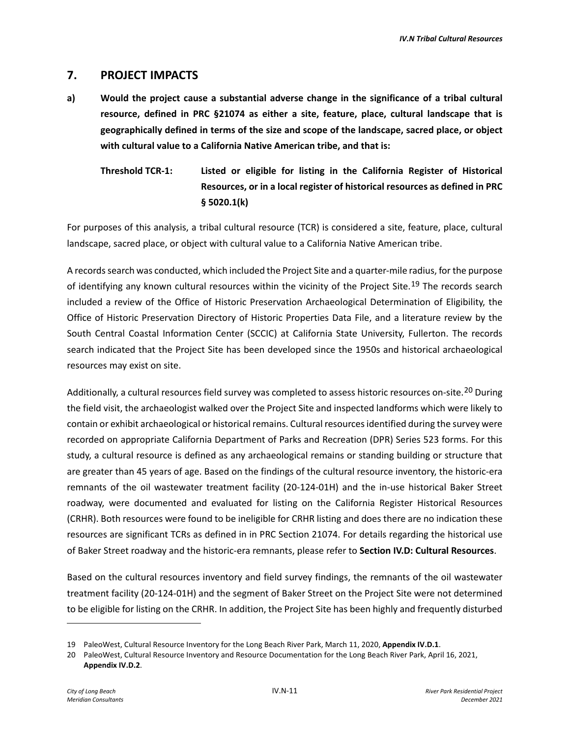### **7. PROJECT IMPACTS**

- **a) Would the project cause a substantial adverse change in the significance of a tribal cultural resource, defined in PRC §21074 as either a site, feature, place, cultural landscape that is geographically defined in terms of the size and scope of the landscape, sacred place, or object with cultural value to a California Native American tribe, and that is:**
	- **Threshold TCR-1: Listed or eligible for listing in the California Register of Historical Resources, or in a local register of historical resources as defined in PRC § 5020.1(k)**

For purposes of this analysis, a tribal cultural resource (TCR) is considered a site, feature, place, cultural landscape, sacred place, or object with cultural value to a California Native American tribe.

A records search was conducted, which included the Project Site and a quarter-mile radius, for the purpose of identifying any known cultural resources within the vicinity of the Project Site.<sup>[19](#page-10-0)</sup> The records search included a review of the Office of Historic Preservation Archaeological Determination of Eligibility, the Office of Historic Preservation Directory of Historic Properties Data File, and a literature review by the South Central Coastal Information Center (SCCIC) at California State University, Fullerton. The records search indicated that the Project Site has been developed since the 1950s and historical archaeological resources may exist on site.

Additionally, a cultural resources field survey was completed to assess historic resources on-site.<sup>[20](#page-10-1)</sup> During the field visit, the archaeologist walked over the Project Site and inspected landforms which were likely to contain or exhibit archaeological or historical remains. Cultural resources identified during the survey were recorded on appropriate California Department of Parks and Recreation (DPR) Series 523 forms. For this study, a cultural resource is defined as any archaeological remains or standing building or structure that are greater than 45 years of age. Based on the findings of the cultural resource inventory, the historic-era remnants of the oil wastewater treatment facility (20-124-01H) and the in-use historical Baker Street roadway, were documented and evaluated for listing on the California Register Historical Resources (CRHR). Both resources were found to be ineligible for CRHR listing and does there are no indication these resources are significant TCRs as defined in in PRC Section 21074. For details regarding the historical use of Baker Street roadway and the historic-era remnants, please refer to **Section IV.D: Cultural Resources**.

Based on the cultural resources inventory and field survey findings, the remnants of the oil wastewater treatment facility (20-124-01H) and the segment of Baker Street on the Project Site were not determined to be eligible for listing on the CRHR. In addition, the Project Site has been highly and frequently disturbed

<span id="page-10-0"></span><sup>19</sup> PaleoWest, Cultural Resource Inventory for the Long Beach River Park, March 11, 2020, **Appendix IV.D.1**.

<span id="page-10-1"></span><sup>20</sup> PaleoWest, Cultural Resource Inventory and Resource Documentation for the Long Beach River Park, April 16, 2021, **Appendix IV.D.2**.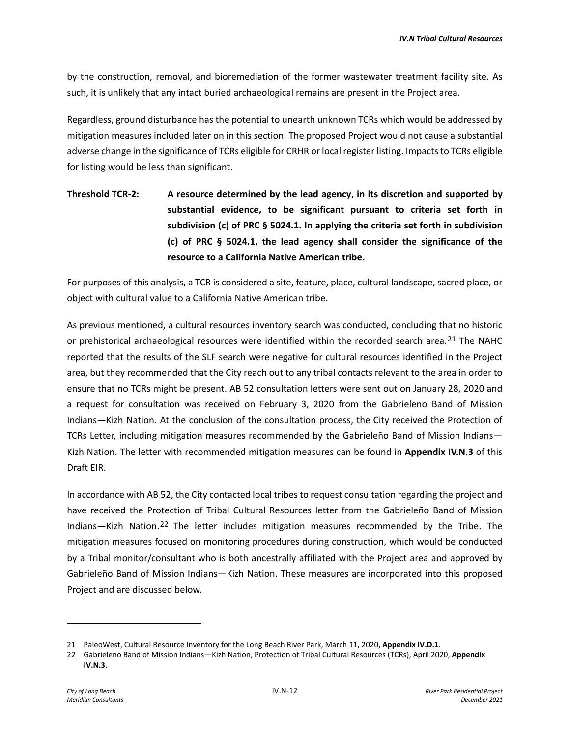by the construction, removal, and bioremediation of the former wastewater treatment facility site. As such, it is unlikely that any intact buried archaeological remains are present in the Project area.

Regardless, ground disturbance has the potential to unearth unknown TCRs which would be addressed by mitigation measures included later on in this section. The proposed Project would not cause a substantial adverse change in the significance of TCRs eligible for CRHR or local register listing. Impacts to TCRs eligible for listing would be less than significant.

**Threshold TCR-2: A resource determined by the lead agency, in its discretion and supported by substantial evidence, to be significant pursuant to criteria set forth in subdivision (c) of PRC § 5024.1. In applying the criteria set forth in subdivision (c) of PRC § 5024.1, the lead agency shall consider the significance of the resource to a California Native American tribe.**

For purposes of this analysis, a TCR is considered a site, feature, place, cultural landscape, sacred place, or object with cultural value to a California Native American tribe.

As previous mentioned, a cultural resources inventory search was conducted, concluding that no historic or prehistorical archaeological resources were identified within the recorded search area.<sup>[21](#page-11-0)</sup> The NAHC reported that the results of the SLF search were negative for cultural resources identified in the Project area, but they recommended that the City reach out to any tribal contacts relevant to the area in order to ensure that no TCRs might be present. AB 52 consultation letters were sent out on January 28, 2020 and a request for consultation was received on February 3, 2020 from the Gabrieleno Band of Mission Indians—Kizh Nation. At the conclusion of the consultation process, the City received the Protection of TCRs Letter, including mitigation measures recommended by the Gabrieleño Band of Mission Indians— Kizh Nation. The letter with recommended mitigation measures can be found in **Appendix IV.N.3** of this Draft EIR.

In accordance with AB 52, the City contacted local tribes to request consultation regarding the project and have received the Protection of Tribal Cultural Resources letter from the Gabrieleño Band of Mission Indians—Kizh Nation.[22](#page-11-1) The letter includes mitigation measures recommended by the Tribe. The mitigation measures focused on monitoring procedures during construction, which would be conducted by a Tribal monitor/consultant who is both ancestrally affiliated with the Project area and approved by Gabrieleño Band of Mission Indians—Kizh Nation. These measures are incorporated into this proposed Project and are discussed below.

<span id="page-11-0"></span><sup>21</sup> PaleoWest, Cultural Resource Inventory for the Long Beach River Park, March 11, 2020, **Appendix IV.D.1**.

<span id="page-11-1"></span><sup>22</sup> Gabrieleno Band of Mission Indians—Kizh Nation, Protection of Tribal Cultural Resources (TCRs), April 2020, **Appendix IV.N.3**.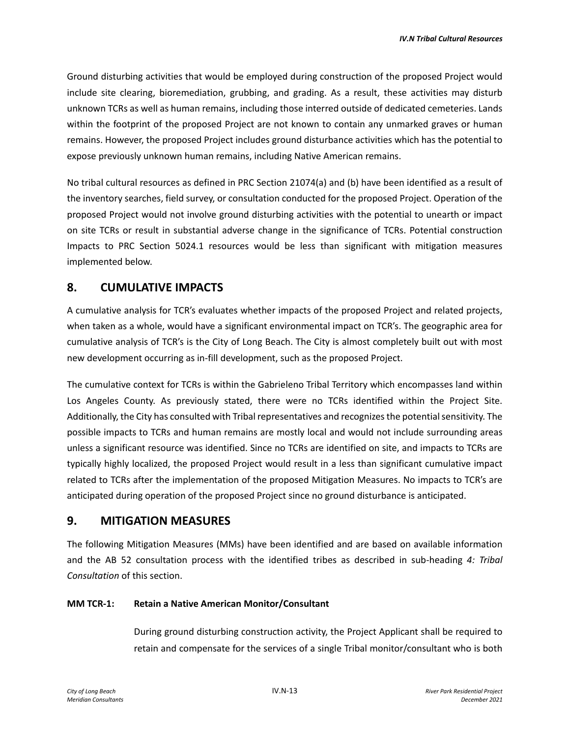Ground disturbing activities that would be employed during construction of the proposed Project would include site clearing, bioremediation, grubbing, and grading. As a result, these activities may disturb unknown TCRs as well as human remains, including those interred outside of dedicated cemeteries. Lands within the footprint of the proposed Project are not known to contain any unmarked graves or human remains. However, the proposed Project includes ground disturbance activities which has the potential to expose previously unknown human remains, including Native American remains.

No tribal cultural resources as defined in PRC Section 21074(a) and (b) have been identified as a result of the inventory searches, field survey, or consultation conducted for the proposed Project. Operation of the proposed Project would not involve ground disturbing activities with the potential to unearth or impact on site TCRs or result in substantial adverse change in the significance of TCRs. Potential construction Impacts to PRC Section 5024.1 resources would be less than significant with mitigation measures implemented below.

## **8. CUMULATIVE IMPACTS**

A cumulative analysis for TCR's evaluates whether impacts of the proposed Project and related projects, when taken as a whole, would have a significant environmental impact on TCR's. The geographic area for cumulative analysis of TCR's is the City of Long Beach. The City is almost completely built out with most new development occurring as in-fill development, such as the proposed Project.

The cumulative context for TCRs is within the Gabrieleno Tribal Territory which encompasses land within Los Angeles County. As previously stated, there were no TCRs identified within the Project Site. Additionally, the City has consulted with Tribal representatives and recognizes the potential sensitivity. The possible impacts to TCRs and human remains are mostly local and would not include surrounding areas unless a significant resource was identified. Since no TCRs are identified on site, and impacts to TCRs are typically highly localized, the proposed Project would result in a less than significant cumulative impact related to TCRs after the implementation of the proposed Mitigation Measures. No impacts to TCR's are anticipated during operation of the proposed Project since no ground disturbance is anticipated.

## **9. MITIGATION MEASURES**

The following Mitigation Measures (MMs) have been identified and are based on available information and the AB 52 consultation process with the identified tribes as described in sub-heading *4: Tribal Consultation* of this section.

#### **MM TCR-1: Retain a Native American Monitor/Consultant**

During ground disturbing construction activity, the Project Applicant shall be required to retain and compensate for the services of a single Tribal monitor/consultant who is both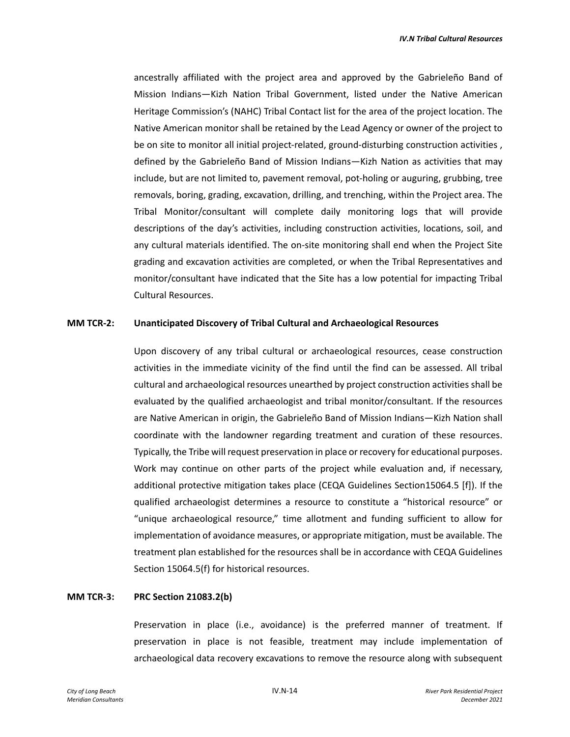ancestrally affiliated with the project area and approved by the Gabrieleño Band of Mission Indians—Kizh Nation Tribal Government, listed under the Native American Heritage Commission's (NAHC) Tribal Contact list for the area of the project location. The Native American monitor shall be retained by the Lead Agency or owner of the project to be on site to monitor all initial project-related, ground-disturbing construction activities , defined by the Gabrieleño Band of Mission Indians—Kizh Nation as activities that may include, but are not limited to, pavement removal, pot-holing or auguring, grubbing, tree removals, boring, grading, excavation, drilling, and trenching, within the Project area. The Tribal Monitor/consultant will complete daily monitoring logs that will provide descriptions of the day's activities, including construction activities, locations, soil, and any cultural materials identified. The on-site monitoring shall end when the Project Site grading and excavation activities are completed, or when the Tribal Representatives and monitor/consultant have indicated that the Site has a low potential for impacting Tribal Cultural Resources.

#### **MM TCR-2: Unanticipated Discovery of Tribal Cultural and Archaeological Resources**

Upon discovery of any tribal cultural or archaeological resources, cease construction activities in the immediate vicinity of the find until the find can be assessed. All tribal cultural and archaeological resources unearthed by project construction activities shall be evaluated by the qualified archaeologist and tribal monitor/consultant. If the resources are Native American in origin, the Gabrieleño Band of Mission Indians—Kizh Nation shall coordinate with the landowner regarding treatment and curation of these resources. Typically, the Tribe will request preservation in place or recovery for educational purposes. Work may continue on other parts of the project while evaluation and, if necessary, additional protective mitigation takes place (CEQA Guidelines Section15064.5 [f]). If the qualified archaeologist determines a resource to constitute a "historical resource" or "unique archaeological resource," time allotment and funding sufficient to allow for implementation of avoidance measures, or appropriate mitigation, must be available. The treatment plan established for the resources shall be in accordance with CEQA Guidelines Section 15064.5(f) for historical resources.

#### **MM TCR-3: PRC Section 21083.2(b)**

Preservation in place (i.e., avoidance) is the preferred manner of treatment. If preservation in place is not feasible, treatment may include implementation of archaeological data recovery excavations to remove the resource along with subsequent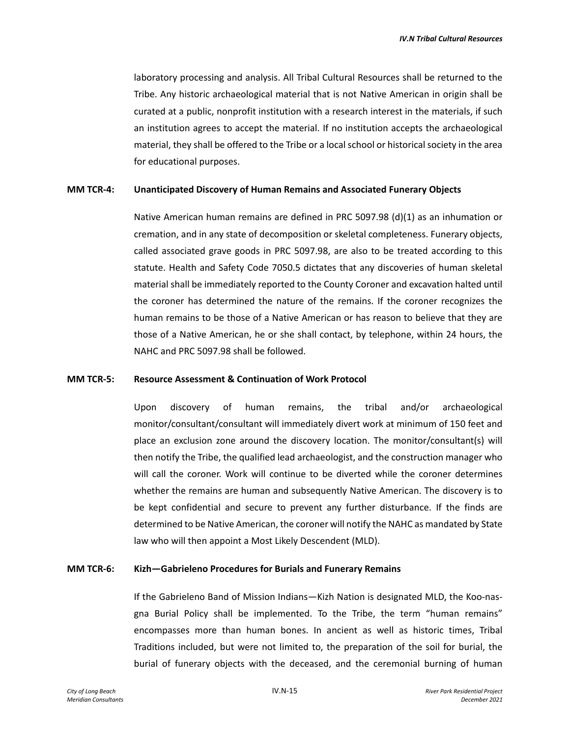laboratory processing and analysis. All Tribal Cultural Resources shall be returned to the Tribe. Any historic archaeological material that is not Native American in origin shall be curated at a public, nonprofit institution with a research interest in the materials, if such an institution agrees to accept the material. If no institution accepts the archaeological material, they shall be offered to the Tribe or a local school or historical society in the area for educational purposes.

#### **MM TCR-4: Unanticipated Discovery of Human Remains and Associated Funerary Objects**

Native American human remains are defined in PRC 5097.98 (d)(1) as an inhumation or cremation, and in any state of decomposition or skeletal completeness. Funerary objects, called associated grave goods in PRC 5097.98, are also to be treated according to this statute. Health and Safety Code 7050.5 dictates that any discoveries of human skeletal material shall be immediately reported to the County Coroner and excavation halted until the coroner has determined the nature of the remains. If the coroner recognizes the human remains to be those of a Native American or has reason to believe that they are those of a Native American, he or she shall contact, by telephone, within 24 hours, the NAHC and PRC 5097.98 shall be followed.

#### **MM TCR-5: Resource Assessment & Continuation of Work Protocol**

Upon discovery of human remains, the tribal and/or archaeological monitor/consultant/consultant will immediately divert work at minimum of 150 feet and place an exclusion zone around the discovery location. The monitor/consultant(s) will then notify the Tribe, the qualified lead archaeologist, and the construction manager who will call the coroner. Work will continue to be diverted while the coroner determines whether the remains are human and subsequently Native American. The discovery is to be kept confidential and secure to prevent any further disturbance. If the finds are determined to be Native American, the coroner will notify the NAHC as mandated by State law who will then appoint a Most Likely Descendent (MLD).

#### **MM TCR-6: Kizh—Gabrieleno Procedures for Burials and Funerary Remains**

If the Gabrieleno Band of Mission Indians—Kizh Nation is designated MLD, the Koo-nasgna Burial Policy shall be implemented. To the Tribe, the term "human remains" encompasses more than human bones. In ancient as well as historic times, Tribal Traditions included, but were not limited to, the preparation of the soil for burial, the burial of funerary objects with the deceased, and the ceremonial burning of human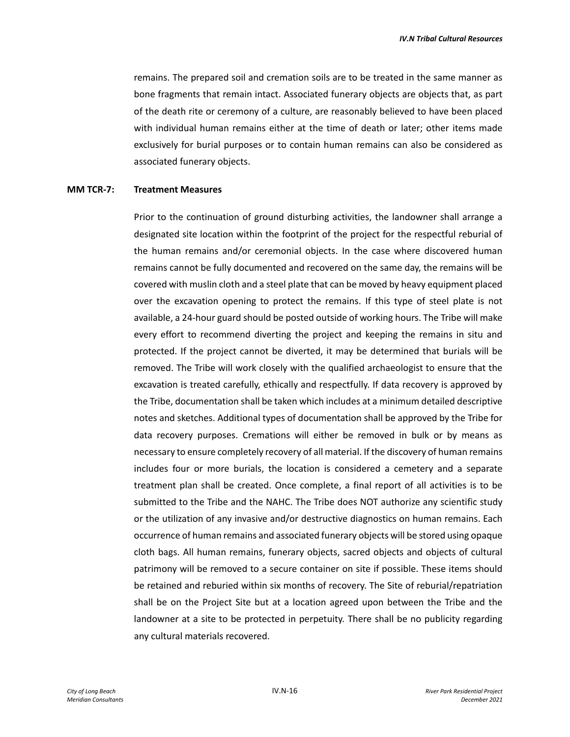remains. The prepared soil and cremation soils are to be treated in the same manner as bone fragments that remain intact. Associated funerary objects are objects that, as part of the death rite or ceremony of a culture, are reasonably believed to have been placed with individual human remains either at the time of death or later; other items made exclusively for burial purposes or to contain human remains can also be considered as associated funerary objects.

#### **MM TCR-7: Treatment Measures**

Prior to the continuation of ground disturbing activities, the landowner shall arrange a designated site location within the footprint of the project for the respectful reburial of the human remains and/or ceremonial objects. In the case where discovered human remains cannot be fully documented and recovered on the same day, the remains will be covered with muslin cloth and a steel plate that can be moved by heavy equipment placed over the excavation opening to protect the remains. If this type of steel plate is not available, a 24-hour guard should be posted outside of working hours. The Tribe will make every effort to recommend diverting the project and keeping the remains in situ and protected. If the project cannot be diverted, it may be determined that burials will be removed. The Tribe will work closely with the qualified archaeologist to ensure that the excavation is treated carefully, ethically and respectfully. If data recovery is approved by the Tribe, documentation shall be taken which includes at a minimum detailed descriptive notes and sketches. Additional types of documentation shall be approved by the Tribe for data recovery purposes. Cremations will either be removed in bulk or by means as necessary to ensure completely recovery of all material. If the discovery of human remains includes four or more burials, the location is considered a cemetery and a separate treatment plan shall be created. Once complete, a final report of all activities is to be submitted to the Tribe and the NAHC. The Tribe does NOT authorize any scientific study or the utilization of any invasive and/or destructive diagnostics on human remains. Each occurrence of human remains and associated funerary objects will be stored using opaque cloth bags. All human remains, funerary objects, sacred objects and objects of cultural patrimony will be removed to a secure container on site if possible. These items should be retained and reburied within six months of recovery. The Site of reburial/repatriation shall be on the Project Site but at a location agreed upon between the Tribe and the landowner at a site to be protected in perpetuity. There shall be no publicity regarding any cultural materials recovered.